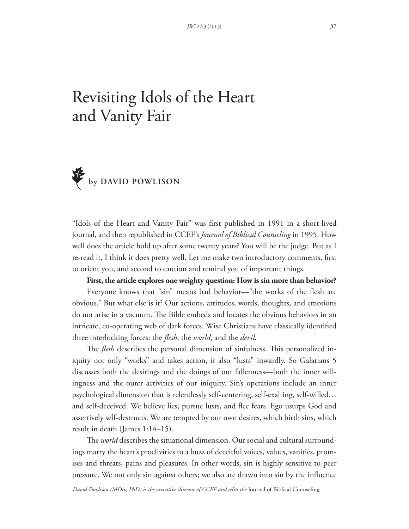# Revisiting Idols of the Heart and Vanity Fair



"Idols of the Heart and Vanity Fair" was first published in 1991 in a short-lived journal, and then republished in CCEF's *Journal of Biblical Counseling* in 1995. How well does the article hold up after some twenty years? You will be the judge. But as I re-read it, I think it does pretty well. Let me make two introductory comments, first to orient you, and second to caution and remind you of important things.

**First, the article explores one weighty question: How is sin more than behavior?** Everyone knows that "sin" means bad behavior—"the works of the flesh are obvious." But what else is it? Our actions, attitudes, words, thoughts, and emotions do not arise in a vacuum. The Bible embeds and locates the obvious behaviors in an intricate, co-operating web of dark forces. Wise Christians have classically identified three interlocking forces: the *!esh*, the *world*, and the *devil*.

The *flesh* describes the personal dimension of sinfulness. This personalized iniquity not only "works" and takes action, it also "lusts" inwardly. So Galatians 5 discusses both the desirings and the doings of our fallenness—both the inner willingness and the outer activities of our iniquity. Sin's operations include an inner psychological dimension that is relentlessly self-centering, self-exalting, self-willed… and self-deceived. We believe lies, pursue lusts, and flee fears. Ego usurps God and assertively self-destructs. We are tempted by our own desires, which birth sins, which result in death (James 1:14–15).

The *world* describes the situational dimension. Our social and cultural surroundings marry the heart's proclivities to a buzz of deceitful voices, values, vanities, promises and threats, pains and pleasures. In other words, sin is highly sensitive to peer pressure. We not only sin against others; we also are drawn into sin by the influence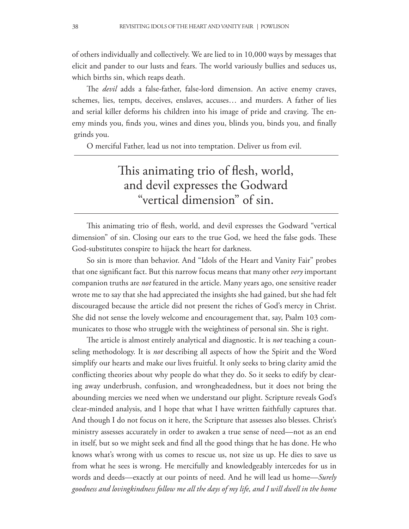of others individually and collectively. We are lied to in 10,000 ways by messages that elicit and pander to our lusts and fears. The world variously bullies and seduces us, which births sin, which reaps death.

The *devil* adds a false-father, false-lord dimension. An active enemy craves, schemes, lies, tempts, deceives, enslaves, accuses… and murders. A father of lies and serial killer deforms his children into his image of pride and craving. The enemy minds you, finds you, wines and dines you, blinds you, binds you, and finally grinds you.

O merciful Father, lead us not into temptation. Deliver us from evil.

## This animating trio of flesh, world, and devil expresses the Godward "vertical dimension" of sin.

This animating trio of flesh, world, and devil expresses the Godward "vertical dimension" of sin. Closing our ears to the true God, we heed the false gods. These God-substitutes conspire to hijack the heart for darkness.

So sin is more than behavior. And "Idols of the Heart and Vanity Fair" probes that one significant fact. But this narrow focus means that many other *very* important companion truths are *not* featured in the article. Many years ago, one sensitive reader wrote me to say that she had appreciated the insights she had gained, but she had felt discouraged because the article did not present the riches of God's mercy in Christ. She did not sense the lovely welcome and encouragement that, say, Psalm 103 communicates to those who struggle with the weightiness of personal sin. She is right.

The article is almost entirely analytical and diagnostic. It is *not* teaching a counseling methodology. It is *not* describing all aspects of how the Spirit and the Word simplify our hearts and make our lives fruitful. It only seeks to bring clarity amid the conflicting theories about why people do what they do. So it seeks to edify by clearing away underbrush, confusion, and wrongheadedness, but it does not bring the abounding mercies we need when we understand our plight. Scripture reveals God's clear-minded analysis, and I hope that what I have written faithfully captures that. And though I do not focus on it here, the Scripture that assesses also blesses. Christ's ministry assesses accurately in order to awaken a true sense of need—not as an end in itself, but so we might seek and find all the good things that he has done. He who knows what's wrong with us comes to rescue us, not size us up. He dies to save us from what he sees is wrong. He mercifully and knowledgeably intercedes for us in words and deeds—exactly at our points of need. And he will lead us home—*Surely goodness and lovingkindness follow me all the days of my life, and I will dwell in the home*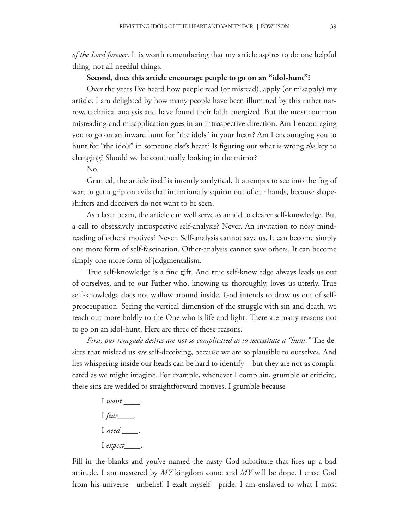*of the Lord forever*. It is worth remembering that my article aspires to do one helpful thing, not all needful things.

#### **Second, does this article encourage people to go on an "idol-hunt"?**

Over the years I've heard how people read (or misread), apply (or misapply) my article. I am delighted by how many people have been illumined by this rather narrow, technical analysis and have found their faith energized. But the most common misreading and misapplication goes in an introspective direction. Am I encouraging you to go on an inward hunt for "the idols" in your heart? Am I encouraging you to hunt for "the idols" in someone else's heart? Is figuring out what is wrong *the* key to changing? Should we be continually looking in the mirror?

No.

Granted, the article itself is intently analytical. It attempts to see into the fog of war, to get a grip on evils that intentionally squirm out of our hands, because shapeshifters and deceivers do not want to be seen.

As a laser beam, the article can well serve as an aid to clearer self-knowledge. But a call to obsessively introspective self-analysis? Never. An invitation to nosy mindreading of others' motives? Never. Self-analysis cannot save us. It can become simply one more form of self-fascination. Other-analysis cannot save others. It can become simply one more form of judgmentalism.

True self-knowledge is a fine gift. And true self-knowledge always leads us out of ourselves, and to our Father who, knowing us thoroughly, loves us utterly. True self-knowledge does not wallow around inside. God intends to draw us out of selfpreoccupation. Seeing the vertical dimension of the struggle with sin and death, we reach out more boldly to the One who is life and light. There are many reasons not to go on an idol-hunt. Here are three of those reasons.

*First, our renegade desires are not so complicated as to necessitate a "hunt."* The desires that mislead us *are* self-deceiving, because we are so plausible to ourselves. And lies whispering inside our heads can be hard to identify—but they are not as complicated as we might imagine. For example, whenever I complain, grumble or criticize, these sins are wedded to straightforward motives. I grumble because

> I *want* \_\_\_\_. I *fear*\_\_\_\_. I *need* \_\_\_\_. I *expect*\_\_\_\_.

Fill in the blanks and you've named the nasty God-substitute that fires up a bad attitude. I am mastered by *MY* kingdom come and *MY* will be done. I erase God from his universe—unbelief. I exalt myself—pride. I am enslaved to what I most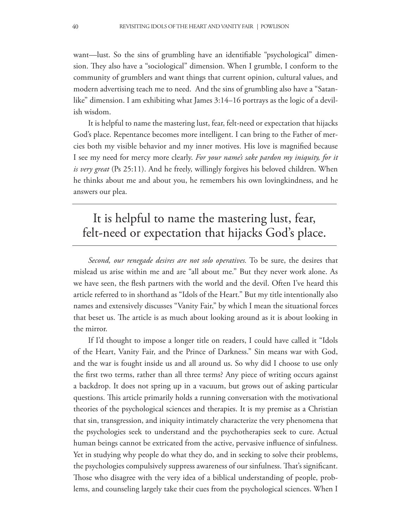want—lust. So the sins of grumbling have an identifiable "psychological" dimension. They also have a "sociological" dimension. When I grumble, I conform to the community of grumblers and want things that current opinion, cultural values, and modern advertising teach me to need. And the sins of grumbling also have a "Satanlike" dimension. I am exhibiting what James 3:14–16 portrays as the logic of a devilish wisdom.

It is helpful to name the mastering lust, fear, felt-need or expectation that hijacks God's place. Repentance becomes more intelligent. I can bring to the Father of mercies both my visible behavior and my inner motives. His love is magnified because I see my need for mercy more clearly. *For your name's sake pardon my iniquity, for it is very great* (Ps 25:11). And he freely, willingly forgives his beloved children. When he thinks about me and about you, he remembers his own lovingkindness, and he answers our plea.

# It is helpful to name the mastering lust, fear, felt-need or expectation that hijacks God's place.

*Second, our renegade desires are not solo operatives.* To be sure, the desires that mislead us arise within me and are "all about me." But they never work alone. As we have seen, the flesh partners with the world and the devil. Often I've heard this article referred to in shorthand as "Idols of the Heart." But my title intentionally also names and extensively discusses "Vanity Fair," by which I mean the situational forces that beset us. The article is as much about looking around as it is about looking in the mirror.

If I'd thought to impose a longer title on readers, I could have called it "Idols of the Heart, Vanity Fair, and the Prince of Darkness." Sin means war with God, and the war is fought inside us and all around us. So why did I choose to use only the first two terms, rather than all three terms? Any piece of writing occurs against a backdrop. It does not spring up in a vacuum, but grows out of asking particular questions. This article primarily holds a running conversation with the motivational theories of the psychological sciences and therapies. It is my premise as a Christian that sin, transgression, and iniquity intimately characterize the very phenomena that the psychologies seek to understand and the psychotherapies seek to cure. Actual human beings cannot be extricated from the active, pervasive influence of sinfulness. Yet in studying why people do what they do, and in seeking to solve their problems, the psychologies compulsively suppress awareness of our sinfulness. That's significant. Those who disagree with the very idea of a biblical understanding of people, problems, and counseling largely take their cues from the psychological sciences. When I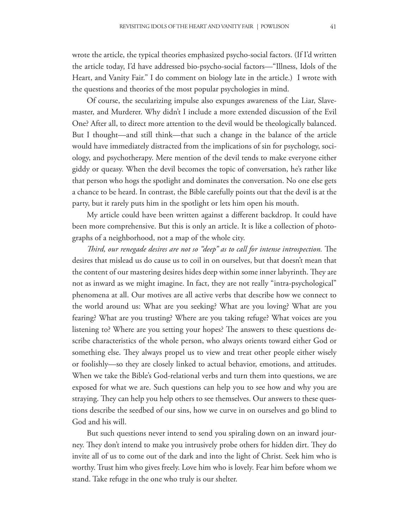wrote the article, the typical theories emphasized psycho-social factors. (If I'd written the article today, I'd have addressed bio-psycho-social factors—"Illness, Idols of the Heart, and Vanity Fair." I do comment on biology late in the article.) I wrote with the questions and theories of the most popular psychologies in mind.

Of course, the secularizing impulse also expunges awareness of the Liar, Slavemaster, and Murderer. Why didn't I include a more extended discussion of the Evil One? After all, to direct more attention to the devil would be theologically balanced. But I thought—and still think—that such a change in the balance of the article would have immediately distracted from the implications of sin for psychology, sociology, and psychotherapy. Mere mention of the devil tends to make everyone either giddy or queasy. When the devil becomes the topic of conversation, he's rather like that person who hogs the spotlight and dominates the conversation. No one else gets a chance to be heard. In contrast, the Bible carefully points out that the devil is at the party, but it rarely puts him in the spotlight or lets him open his mouth.

My article could have been written against a different backdrop. It could have been more comprehensive. But this is only an article. It is like a collection of photographs of a neighborhood, not a map of the whole city.

*Third, our renegade desires are not so "deep" as to call for intense introspection. The* desires that mislead us do cause us to coil in on ourselves, but that doesn't mean that the content of our mastering desires hides deep within some inner labyrinth. They are not as inward as we might imagine. In fact, they are not really "intra-psychological" phenomena at all. Our motives are all active verbs that describe how we connect to the world around us: What are you seeking? What are you loving? What are you fearing? What are you trusting? Where are you taking refuge? What voices are you listening to? Where are you setting your hopes? The answers to these questions describe characteristics of the whole person, who always orients toward either God or something else. They always propel us to view and treat other people either wisely or foolishly—so they are closely linked to actual behavior, emotions, and attitudes. When we take the Bible's God-relational verbs and turn them into questions, we are exposed for what we are. Such questions can help you to see how and why you are straying. They can help you help others to see themselves. Our answers to these questions describe the seedbed of our sins, how we curve in on ourselves and go blind to God and his will.

But such questions never intend to send you spiraling down on an inward journey. They don't intend to make you intrusively probe others for hidden dirt. They do invite all of us to come out of the dark and into the light of Christ. Seek him who is worthy. Trust him who gives freely. Love him who is lovely. Fear him before whom we stand. Take refuge in the one who truly is our shelter.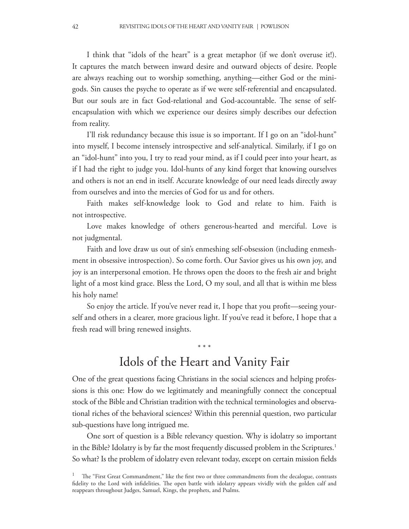I think that "idols of the heart" is a great metaphor (if we don't overuse it!). It captures the match between inward desire and outward objects of desire. People are always reaching out to worship something, anything—either God or the minigods. Sin causes the psyche to operate as if we were self-referential and encapsulated. But our souls are in fact God-relational and God-accountable. The sense of selfencapsulation with which we experience our desires simply describes our defection from reality.

I'll risk redundancy because this issue is so important. If I go on an "idol-hunt" into myself, I become intensely introspective and self-analytical. Similarly, if I go on an "idol-hunt" into you, I try to read your mind, as if I could peer into your heart, as if I had the right to judge you. Idol-hunts of any kind forget that knowing ourselves and others is not an end in itself. Accurate knowledge of our need leads directly away from ourselves and into the mercies of God for us and for others.

Faith makes self-knowledge look to God and relate to him. Faith is not introspective.

Love makes knowledge of others generous-hearted and merciful. Love is not judgmental.

Faith and love draw us out of sin's enmeshing self-obsession (including enmeshment in obsessive introspection). So come forth. Our Savior gives us his own joy, and joy is an interpersonal emotion. He throws open the doors to the fresh air and bright light of a most kind grace. Bless the Lord, O my soul, and all that is within me bless his holy name!

So enjoy the article. If you've never read it, I hope that you profit—seeing yourself and others in a clearer, more gracious light. If you've read it before, I hope that a fresh read will bring renewed insights.

### Idols of the Heart and Vanity Fair

\* \* \*

One of the great questions facing Christians in the social sciences and helping professions is this one: How do we legitimately and meaningfully connect the conceptual stock of the Bible and Christian tradition with the technical terminologies and observational riches of the behavioral sciences? Within this perennial question, two particular sub-questions have long intrigued me.

One sort of question is a Bible relevancy question. Why is idolatry so important in the Bible? Idolatry is by far the most frequently discussed problem in the Scriptures.<sup>1</sup> So what? Is the problem of idolatry even relevant today, except on certain mission fields

 $1$  The "First Great Commandment," like the first two or three commandments from the decalogue, contrasts fidelity to the Lord with infidelities. The open battle with idolatry appears vividly with the golden calf and reappears throughout Judges, Samuel, Kings, the prophets, and Psalms.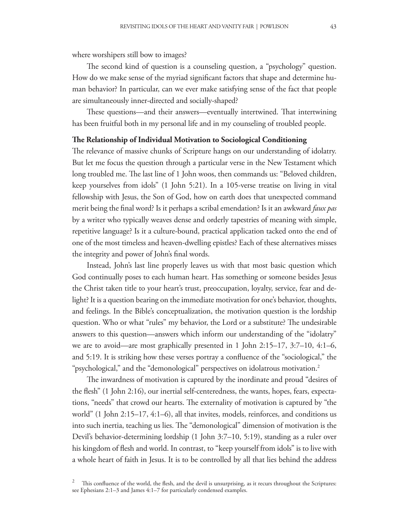where worshipers still bow to images?

The second kind of question is a counseling question, a "psychology" question. How do we make sense of the myriad significant factors that shape and determine human behavior? In particular, can we ever make satisfying sense of the fact that people are simultaneously inner-directed and socially-shaped?

These questions—and their answers—eventually intertwined. That intertwining has been fruitful both in my personal life and in my counseling of troubled people.

### **!e Relationship of Individual Motivation to Sociological Conditioning**

The relevance of massive chunks of Scripture hangs on our understanding of idolatry. But let me focus the question through a particular verse in the New Testament which long troubled me. The last line of 1 John woos, then commands us: "Beloved children, keep yourselves from idols" (1 John 5:21). In a 105-verse treatise on living in vital fellowship with Jesus, the Son of God, how on earth does that unexpected command merit being the !nal word? Is it perhaps a scribal emendation? Is it an awkward *faux pas* by a writer who typically weaves dense and orderly tapestries of meaning with simple, repetitive language? Is it a culture-bound, practical application tacked onto the end of one of the most timeless and heaven-dwelling epistles? Each of these alternatives misses the integrity and power of John's final words.

Instead, John's last line properly leaves us with that most basic question which God continually poses to each human heart. Has something or someone besides Jesus the Christ taken title to your heart's trust, preoccupation, loyalty, service, fear and delight? It is a question bearing on the immediate motivation for one's behavior, thoughts, and feelings. In the Bible's conceptualization, the motivation question is the lordship question. Who or what "rules" my behavior, the Lord or a substitute? The undesirable answers to this question—answers which inform our understanding of the "idolatry" we are to avoid—are most graphically presented in 1 John  $2:15-17$ ,  $3:7-10$ ,  $4:1-6$ , and  $5:19$ . It is striking how these verses portray a confluence of the "sociological," the "psychological," and the "demonological" perspectives on idolatrous motivation.<sup>2</sup>

The inwardness of motivation is captured by the inordinate and proud "desires of the flesh" (1 John 2:16), our inertial self-centeredness, the wants, hopes, fears, expectations, "needs" that crowd our hearts. The externality of motivation is captured by "the world" (1 John 2:15–17, 4:1–6), all that invites, models, reinforces, and conditions us into such inertia, teaching us lies. The "demonological" dimension of motivation is the Devil's behavior-determining lordship (1 John 3:7–10, 5:19), standing as a ruler over his kingdom of flesh and world. In contrast, to "keep yourself from idols" is to live with a whole heart of faith in Jesus. It is to be controlled by all that lies behind the address

This confluence of the world, the flesh, and the devil is unsurprising, as it recurs throughout the Scriptures: see Ephesians 2:1–3 and James 4:1–7 for particularly condensed examples.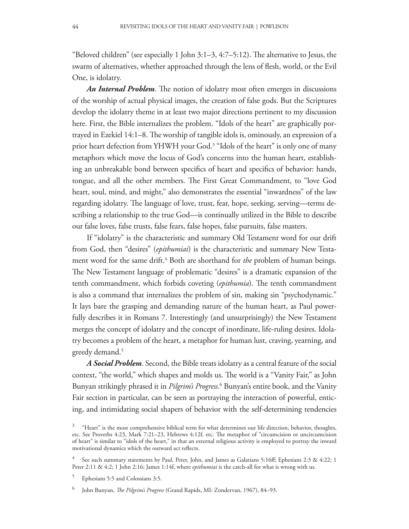"Beloved children" (see especially 1 John  $3:1-3$ ,  $4:7-5:12$ ). The alternative to Jesus, the swarm of alternatives, whether approached through the lens of flesh, world, or the Evil One, is idolatry.

*An Internal Problem*. The notion of idolatry most often emerges in discussions of the worship of actual physical images, the creation of false gods. But the Scriptures develop the idolatry theme in at least two major directions pertinent to my discussion here. First, the Bible internalizes the problem. "Idols of the heart" are graphically portrayed in Ezekiel  $14:1-8$ . The worship of tangible idols is, ominously, an expression of a prior heart defection from YHWH your God.<sup>3</sup> "Idols of the heart" is only one of many metaphors which move the locus of God's concerns into the human heart, establishing an unbreakable bond between specifics of heart and specifics of behavior: hands, tongue, and all the other members. The First Great Commandment, to "love God heart, soul, mind, and might," also demonstrates the essential "inwardness" of the law regarding idolatry. The language of love, trust, fear, hope, seeking, serving—terms describing a relationship to the true God—is continually utilized in the Bible to describe our false loves, false trusts, false fears, false hopes, false pursuits, false masters.

If "idolatry" is the characteristic and summary Old Testament word for our drift from God, then "desires" (*epithumiai*) is the characteristic and summary New Testament word for the same drift.<sup>4</sup> Both are shorthand for *the* problem of human beings. The New Testament language of problematic "desires" is a dramatic expansion of the tenth commandment, which forbids coveting (*epithumia*). The tenth commandment is also a command that internalizes the problem of sin, making sin "psychodynamic." It lays bare the grasping and demanding nature of the human heart, as Paul powerfully describes it in Romans 7. Interestingly (and unsurprisingly) the New Testament merges the concept of idolatry and the concept of inordinate, life-ruling desires. Idolatry becomes a problem of the heart, a metaphor for human lust, craving, yearning, and greedy demand.<sup>5</sup>

*A Social Problem*. Second, the Bible treats idolatry as a central feature of the social context, "the world," which shapes and molds us. The world is a "Vanity Fair," as John Bunyan strikingly phrased it in *Pilgrim's Progress*. 6 Bunyan's entire book, and the Vanity Fair section in particular, can be seen as portraying the interaction of powerful, enticing, and intimidating social shapers of behavior with the self-determining tendencies

<sup>3</sup> "Heart" is the most comprehensive biblical term for what determines our life direction, behavior, thoughts, etc. See Proverbs 4:23, Mark 7:21-23, Hebrews 4:12f, etc. The metaphor of "circumcision or uncircumcision of heart" is similar to "idols of the heart," in that an external religious activity is employed to portray the inward motivational dynamics which the outward act reflects.

<sup>&</sup>lt;sup>4</sup> See such summary statements by Paul, Peter, John, and James as Galatians 5:16ff; Ephesians 2:3 & 4:22; 1 Peter 2:11 & 4:2; 1 John 2:16; James 1:14f, where *epithumiai* is the catch-all for what is wrong with us.

<sup>5</sup> Ephesians 5:5 and Colossians 3:5.

<sup>6</sup> John Bunyan, *"e Pilgrim's Progress* (Grand Rapids, MI: Zondervan, 1967), 84–93.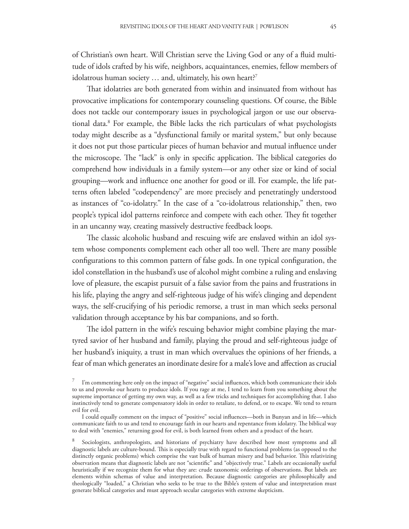of Christian's own heart. Will Christian serve the Living God or any of a fluid multitude of idols crafted by his wife, neighbors, acquaintances, enemies, fellow members of idolatrous human society ... and, ultimately, his own heart?<sup>7</sup>

That idolatries are both generated from within and insinuated from without has provocative implications for contemporary counseling questions. Of course, the Bible does not tackle our contemporary issues in psychological jargon or use our observational data.<sup>8</sup> For example, the Bible lacks the rich particulars of what psychologists today might describe as a "dysfunctional family or marital system," but only because it does not put those particular pieces of human behavior and mutual influence under the microscope. The "lack" is only in specific application. The biblical categories do comprehend how individuals in a family system—or any other size or kind of social grouping—work and influence one another for good or ill. For example, the life patterns often labeled "codependency" are more precisely and penetratingly understood as instances of "co-idolatry." In the case of a "co-idolatrous relationship," then, two people's typical idol patterns reinforce and compete with each other. They fit together in an uncanny way, creating massively destructive feedback loops.

The classic alcoholic husband and rescuing wife are enslaved within an idol system whose components complement each other all too well. There are many possible configurations to this common pattern of false gods. In one typical configuration, the idol constellation in the husband's use of alcohol might combine a ruling and enslaving love of pleasure, the escapist pursuit of a false savior from the pains and frustrations in his life, playing the angry and self-righteous judge of his wife's clinging and dependent ways, the self-crucifying of his periodic remorse, a trust in man which seeks personal validation through acceptance by his bar companions, and so forth.

The idol pattern in the wife's rescuing behavior might combine playing the martyred savior of her husband and family, playing the proud and self-righteous judge of her husband's iniquity, a trust in man which overvalues the opinions of her friends, a fear of man which generates an inordinate desire for a male's love and affection as crucial

 $7$  I'm commenting here only on the impact of "negative" social influences, which both communicate their idols to us and provoke our hearts to produce idols. If you rage at me, I tend to learn from you something about the supreme importance of getting my own way, as well as a few tricks and techniques for accomplishing that. I also instinctively tend to generate compensatory idols in order to retaliate, to defend, or to escape. We tend to return evil for evil.

I could equally comment on the impact of "positive" social influences—both in Bunyan and in life—which communicate faith to us and tend to encourage faith in our hearts and repentance from idolatry. The biblical way to deal with "enemies," returning good for evil, is both learned from others and a product of the heart.

<sup>8</sup> Sociologists, anthropologists, and historians of psychiatry have described how most symptoms and all diagnostic labels are culture-bound. This is especially true with regard to functional problems (as opposed to the distinctly organic problems) which comprise the vast bulk of human misery and bad behavior. This relativizing observation means that diagnostic labels are not "scientific" and "objectively true." Labels are occasionally useful heuristically if we recognize them for what they are: crude taxonomic orderings of observations. But labels are elements within schemas of value and interpretation. Because diagnostic categories are philosophically and theologically "loaded," a Christian who seeks to be true to the Bible's system of value and interpretation must generate biblical categories and must approach secular categories with extreme skepticism.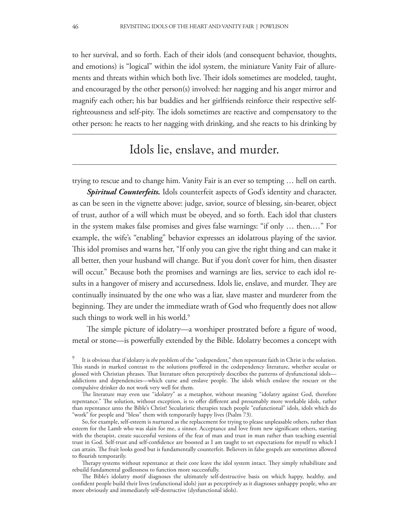to her survival, and so forth. Each of their idols (and consequent behavior, thoughts, and emotions) is "logical" within the idol system, the miniature Vanity Fair of allurements and threats within which both live. Their idols sometimes are modeled, taught, and encouraged by the other person(s) involved: her nagging and his anger mirror and magnify each other; his bar buddies and her girlfriends reinforce their respective selfrighteousness and self-pity. The idols sometimes are reactive and compensatory to the other person: he reacts to her nagging with drinking, and she reacts to his drinking by

### Idols lie, enslave, and murder.

trying to rescue and to change him. Vanity Fair is an ever so tempting … hell on earth.

*Spiritual Counterfeits.* Idols counterfeit aspects of God's identity and character, as can be seen in the vignette above: judge, savior, source of blessing, sin-bearer, object of trust, author of a will which must be obeyed, and so forth. Each idol that clusters in the system makes false promises and gives false warnings: "if only … then.…" For example, the wife's "enabling" behavior expresses an idolatrous playing of the savior. This idol promises and warns her, "If only you can give the right thing and can make it all better, then your husband will change. But if you don't cover for him, then disaster will occur." Because both the promises and warnings are lies, service to each idol results in a hangover of misery and accursedness. Idols lie, enslave, and murder. They are continually insinuated by the one who was a liar, slave master and murderer from the beginning. They are under the immediate wrath of God who frequently does not allow such things to work well in his world.<sup>9</sup>

The simple picture of idolatry—a worshiper prostrated before a figure of wood, metal or stone—is powerfully extended by the Bible. Idolatry becomes a concept with

<sup>9</sup> It is obvious that if idolatry is *the* problem of the "codependent," then repentant faith in Christ is the solution. This stands in marked contrast to the solutions proffered in the codependency literature, whether secular or glossed with Christian phrases. That literature often perceptively describes the patterns of dysfunctional idols addictions and dependencies—which curse and enslave people. The idols which enslave the rescuer or the compulsive drinker do not work very well for them.

The literature may even use "idolatry" as a metaphor, without meaning "idolatry against God, therefore repentance." The solution, without exception, is to offer different and presumably more workable idols, rather than repentance unto the Bible's Christ! Secularistic therapies teach people "eufunctional" idols, idols which do "work" for people and "bless" them with temporarily happy lives (Psalm 73).

So,for example, self-esteem is nurtured as the replacement for trying to please unpleasable others, rather than esteem for the Lamb who was slain for me, a sinner. Acceptance and love from new significant others, starting with the therapist, create successful versions of the fear of man and trust in man rather than teaching essential trust in God. Self-trust and self-confidence are boosted as I am taught to set expectations for myself to which I can attain. The fruit looks good but is fundamentally counterfeit. Believers in false gospels are sometimes allowed to flourish temporarily.

Therapy systems without repentance at their core leave the idol system intact. They simply rehabilitate and rebuild fundamental godlessness to function more successfully.

The Bible's idolatry motif diagnoses the ultimately self-destructive basis on which happy, healthy, and confident people build their lives (eufunctional idols) just as perceptively as it diagnoses unhappy people, who are more obviously and immediately self-destructive (dysfunctional idols).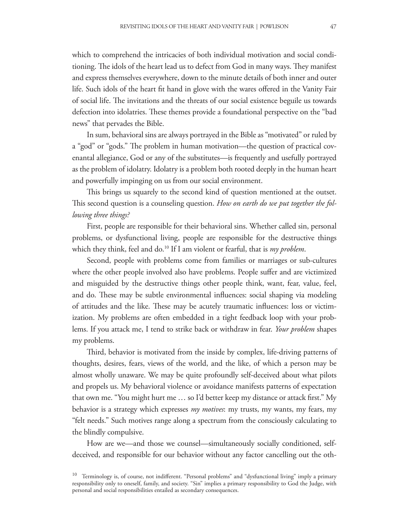which to comprehend the intricacies of both individual motivation and social conditioning. The idols of the heart lead us to defect from God in many ways. They manifest and express themselves everywhere, down to the minute details of both inner and outer life. Such idols of the heart fit hand in glove with the wares offered in the Vanity Fair of social life. The invitations and the threats of our social existence beguile us towards defection into idolatries. These themes provide a foundational perspective on the "bad news" that pervades the Bible.

In sum, behavioral sins are always portrayed in the Bible as "motivated" or ruled by a "god" or "gods." The problem in human motivation—the question of practical covenantal allegiance, God or any of the substitutes—is frequently and usefully portrayed as the problem of idolatry. Idolatry is a problem both rooted deeply in the human heart and powerfully impinging on us from our social environment.

This brings us squarely to the second kind of question mentioned at the outset. This second question is a counseling question. *How on earth do we put together the following three things?* 

First, people are responsible for their behavioral sins. Whether called sin, personal problems, or dysfunctional living, people are responsible for the destructive things which they think, feel and do.<sup>10</sup> If I am violent or fearful, that is *my problem*.

Second, people with problems come from families or marriages or sub-cultures where the other people involved also have problems. People suffer and are victimized and misguided by the destructive things other people think, want, fear, value, feel, and do. These may be subtle environmental influences: social shaping via modeling of attitudes and the like. These may be acutely traumatic influences: loss or victimization. My problems are often embedded in a tight feedback loop with your problems. If you attack me, I tend to strike back or withdraw in fear. *Your problem* shapes my problems.

Third, behavior is motivated from the inside by complex, life-driving patterns of thoughts, desires, fears, views of the world, and the like, of which a person may be almost wholly unaware. We may be quite profoundly self-deceived about what pilots and propels us. My behavioral violence or avoidance manifests patterns of expectation that own me. "You might hurt me  $\ldots$  so I'd better keep my distance or attack first." My behavior is a strategy which expresses *my motives*: my trusts, my wants, my fears, my "felt needs." Such motives range along a spectrum from the consciously calculating to the blindly compulsive.

How are we—and those we counsel—simultaneously socially conditioned, selfdeceived, and responsible for our behavior without any factor cancelling out the oth-

<sup>&</sup>lt;sup>10</sup> Terminology is, of course, not indifferent. "Personal problems" and "dysfunctional living" imply a primary responsibility only to oneself, family, and society. "Sin" implies a primary responsibility to God the Judge, with personal and social responsibilities entailed as secondary consequences.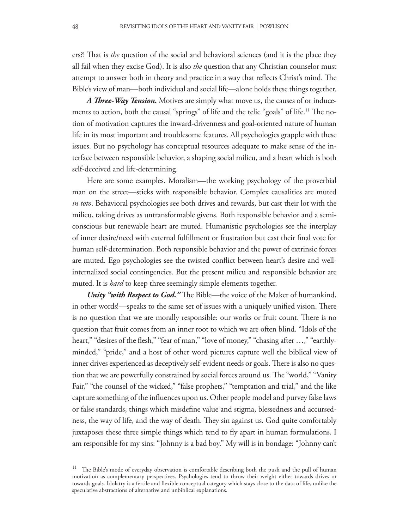ers?! That is *the* question of the social and behavioral sciences (and it is the place they all fail when they excise God). It is also *the* question that any Christian counselor must attempt to answer both in theory and practice in a way that reflects Christ's mind. The Bible's view of man—both individual and social life—alone holds these things together.

A *Three-Way Tension*. Motives are simply what move us, the causes of or inducements to action, both the causal "springs" of life and the telic "goals" of life.<sup>11</sup> The notion of motivation captures the inward-drivenness and goal-oriented nature of human life in its most important and troublesome features. All psychologies grapple with these issues. But no psychology has conceptual resources adequate to make sense of the interface between responsible behavior, a shaping social milieu, and a heart which is both self-deceived and life-determining.

Here are some examples. Moralism—the working psychology of the proverbial man on the street—sticks with responsible behavior. Complex causalities are muted *in toto*. Behavioral psychologies see both drives and rewards, but cast their lot with the milieu, taking drives as untransformable givens. Both responsible behavior and a semiconscious but renewable heart are muted. Humanistic psychologies see the interplay of inner desire/need with external fulfillment or frustration but cast their final vote for human self-determination. Both responsible behavior and the power of extrinsic forces are muted. Ego psychologies see the twisted conflict between heart's desire and wellinternalized social contingencies. But the present milieu and responsible behavior are muted. It is *hard* to keep three seemingly simple elements together.

*Unity "with Respect to God."* The Bible—the voice of the Maker of humankind, in other words!—speaks to the same set of issues with a uniquely unified vision. There is no question that we are morally responsible: our works or fruit count. There is no question that fruit comes from an inner root to which we are often blind. "Idols of the heart," "desires of the flesh," "fear of man," "love of money," "chasing after ...," "earthlyminded," "pride," and a host of other word pictures capture well the biblical view of inner drives experienced as deceptively self-evident needs or goals. There is also no question that we are powerfully constrained by social forces around us. The "world," "Vanity Fair," "the counsel of the wicked," "false prophets," "temptation and trial," and the like capture something of the influences upon us. Other people model and purvey false laws or false standards, things which misdefine value and stigma, blessedness and accursedness, the way of life, and the way of death. They sin against us. God quite comfortably juxtaposes these three simple things which tend to fly apart in human formulations. I am responsible for my sins: "Johnny is a bad boy." My will is in bondage: "Johnny can't

The Bible's mode of everyday observation is comfortable describing both the push and the pull of human motivation as complementary perspectives. Psychologies tend to throw their weight either towards drives or towards goals. Idolatry is a fertile and flexible conceptual category which stays close to the data of life, unlike the speculative abstractions of alternative and unbiblical explanations.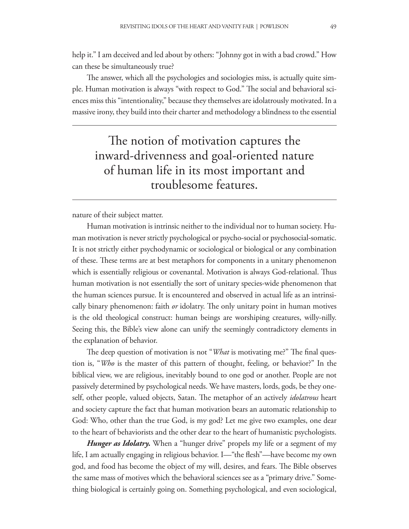help it." I am deceived and led about by others: "Johnny got in with a bad crowd." How can these be simultaneously true?

The answer, which all the psychologies and sociologies miss, is actually quite simple. Human motivation is always "with respect to God." The social and behavioral sciences miss this "intentionality," because they themselves are idolatrously motivated. In a massive irony, they build into their charter and methodology a blindness to the essential

The notion of motivation captures the inward-drivenness and goal-oriented nature of human life in its most important and troublesome features.

nature of their subject matter.

Human motivation is intrinsic neither to the individual nor to human society. Human motivation is never strictly psychological or psycho-social or psychosocial-somatic. It is not strictly either psychodynamic or sociological or biological or any combination of these. These terms are at best metaphors for components in a unitary phenomenon which is essentially religious or covenantal. Motivation is always God-relational. Thus human motivation is not essentially the sort of unitary species-wide phenomenon that the human sciences pursue. It is encountered and observed in actual life as an intrinsically binary phenomenon: faith *or* idolatry. The only unitary point in human motives is the old theological construct: human beings are worshiping creatures, willy-nilly. Seeing this, the Bible's view alone can unify the seemingly contradictory elements in the explanation of behavior.

The deep question of motivation is not "*What* is motivating me?" The final question is, "*Who* is the master of this pattern of thought, feeling, or behavior?" In the biblical view, we are religious, inevitably bound to one god or another. People are not passively determined by psychological needs. We have masters, lords, gods, be they oneself, other people, valued objects, Satan. The metaphor of an actively *idolatrous* heart and society capture the fact that human motivation bears an automatic relationship to God: Who, other than the true God, is my god? Let me give two examples, one dear to the heart of behaviorists and the other dear to the heart of humanistic psychologists.

*Hunger as Idolatry.* When a "hunger drive" propels my life or a segment of my life, I am actually engaging in religious behavior. I—"the flesh"—have become my own god, and food has become the object of my will, desires, and fears. The Bible observes the same mass of motives which the behavioral sciences see as a "primary drive." Something biological is certainly going on. Something psychological, and even sociological,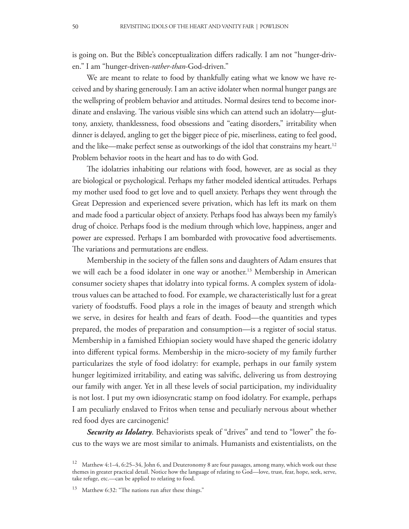is going on. But the Bible's conceptualization differs radically. I am not "hunger-driven." I am "hunger-driven-*rather-than*-God-driven."

We are meant to relate to food by thankfully eating what we know we have received and by sharing generously. I am an active idolater when normal hunger pangs are the wellspring of problem behavior and attitudes. Normal desires tend to become inordinate and enslaving. The various visible sins which can attend such an idolatry—gluttony, anxiety, thanklessness, food obsessions and "eating disorders," irritability when dinner is delayed, angling to get the bigger piece of pie, miserliness, eating to feel good, and the like—make perfect sense as outworkings of the idol that constrains my heart.<sup>12</sup> Problem behavior roots in the heart and has to do with God.

The idolatries inhabiting our relations with food, however, are as social as they are biological or psychological. Perhaps my father modeled identical attitudes. Perhaps my mother used food to get love and to quell anxiety. Perhaps they went through the Great Depression and experienced severe privation, which has left its mark on them and made food a particular object of anxiety. Perhaps food has always been my family's drug of choice. Perhaps food is the medium through which love, happiness, anger and power are expressed. Perhaps I am bombarded with provocative food advertisements. The variations and permutations are endless.

Membership in the society of the fallen sons and daughters of Adam ensures that we will each be a food idolater in one way or another.<sup>13</sup> Membership in American consumer society shapes that idolatry into typical forms. A complex system of idolatrous values can be attached to food. For example, we characteristically lust for a great variety of foodstuffs. Food plays a role in the images of beauty and strength which we serve, in desires for health and fears of death. Food—the quantities and types prepared, the modes of preparation and consumption—is a register of social status. Membership in a famished Ethiopian society would have shaped the generic idolatry into different typical forms. Membership in the micro-society of my family further particularizes the style of food idolatry: for example, perhaps in our family system hunger legitimized irritability, and eating was salvific, delivering us from destroying our family with anger. Yet in all these levels of social participation, my individuality is not lost. I put my own idiosyncratic stamp on food idolatry. For example, perhaps I am peculiarly enslaved to Fritos when tense and peculiarly nervous about whether red food dyes are carcinogenic!

*Security as Idolatry*. Behaviorists speak of "drives" and tend to "lower" the focus to the ways we are most similar to animals. Humanists and existentialists, on the

<sup>12</sup> Matthew 4:1–4, 6:25–34, John 6, and Deuteronomy 8 are four passages, among many, which work out these themes in greater practical detail. Notice how the language of relating to God—love, trust, fear, hope, seek, serve, take refuge, etc.—can be applied to relating to food.

 $13$  Matthew 6:32: "The nations run after these things."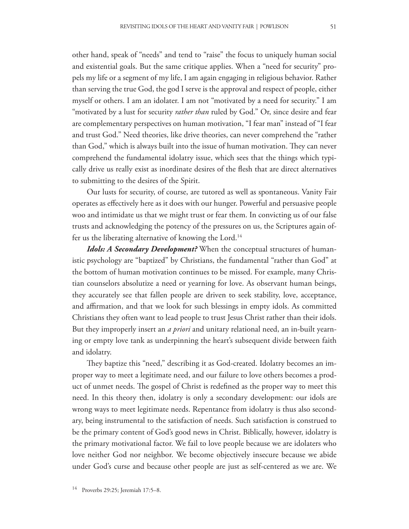other hand, speak of "needs" and tend to "raise" the focus to uniquely human social and existential goals. But the same critique applies. When a "need for security" propels my life or a segment of my life, I am again engaging in religious behavior. Rather than serving the true God, the god I serve is the approval and respect of people, either myself or others. I am an idolater. I am not "motivated by a need for security." I am "motivated by a lust for security *rather than* ruled by God." Or, since desire and fear are complementary perspectives on human motivation, "I fear man" instead of "I fear and trust God." Need theories, like drive theories, can never comprehend the "rather than God," which is always built into the issue of human motivation. They can never comprehend the fundamental idolatry issue, which sees that the things which typically drive us really exist as inordinate desires of the flesh that are direct alternatives to submitting to the desires of the Spirit.

Our lusts for security, of course, are tutored as well as spontaneous. Vanity Fair operates as effectively here as it does with our hunger. Powerful and persuasive people woo and intimidate us that we might trust or fear them. In convicting us of our false trusts and acknowledging the potency of the pressures on us, the Scriptures again offer us the liberating alternative of knowing the Lord.<sup>14</sup>

*Idols: A Secondary Development?* When the conceptual structures of humanistic psychology are "baptized" by Christians, the fundamental "rather than God" at the bottom of human motivation continues to be missed. For example, many Christian counselors absolutize a need or yearning for love. As observant human beings, they accurately see that fallen people are driven to seek stability, love, acceptance, and affirmation, and that we look for such blessings in empty idols. As committed Christians they often want to lead people to trust Jesus Christ rather than their idols. But they improperly insert an *a priori* and unitary relational need, an in-built yearning or empty love tank as underpinning the heart's subsequent divide between faith and idolatry.

They baptize this "need," describing it as God-created. Idolatry becomes an improper way to meet a legitimate need, and our failure to love others becomes a product of unmet needs. The gospel of Christ is redefined as the proper way to meet this need. In this theory then, idolatry is only a secondary development: our idols are wrong ways to meet legitimate needs. Repentance from idolatry is thus also secondary, being instrumental to the satisfaction of needs. Such satisfaction is construed to be the primary content of God's good news in Christ. Biblically, however, idolatry is the primary motivational factor. We fail to love people because we are idolaters who love neither God nor neighbor. We become objectively insecure because we abide under God's curse and because other people are just as self-centered as we are. We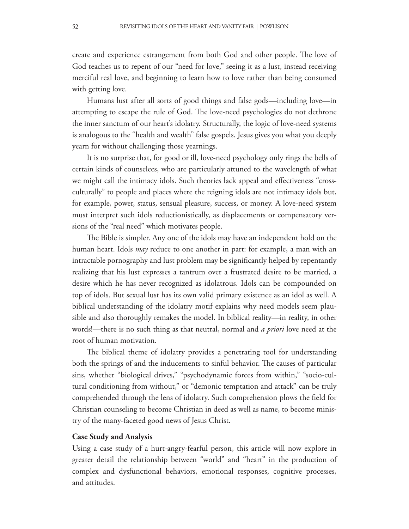create and experience estrangement from both God and other people. The love of God teaches us to repent of our "need for love," seeing it as a lust, instead receiving merciful real love, and beginning to learn how to love rather than being consumed with getting love.

Humans lust after all sorts of good things and false gods—including love—in attempting to escape the rule of God. The love-need psychologies do not dethrone the inner sanctum of our heart's idolatry. Structurally, the logic of love-need systems is analogous to the "health and wealth" false gospels. Jesus gives you what you deeply yearn for without challenging those yearnings.

It is no surprise that, for good or ill, love-need psychology only rings the bells of certain kinds of counselees, who are particularly attuned to the wavelength of what we might call the intimacy idols. Such theories lack appeal and effectiveness "crossculturally" to people and places where the reigning idols are not intimacy idols but, for example, power, status, sensual pleasure, success, or money. A love-need system must interpret such idols reductionistically, as displacements or compensatory versions of the "real need" which motivates people.

The Bible is simpler. Any one of the idols may have an independent hold on the human heart. Idols *may* reduce to one another in part: for example, a man with an intractable pornography and lust problem may be significantly helped by repentantly realizing that his lust expresses a tantrum over a frustrated desire to be married, a desire which he has never recognized as idolatrous. Idols can be compounded on top of idols. But sexual lust has its own valid primary existence as an idol as well. A biblical understanding of the idolatry motif explains why need models seem plausible and also thoroughly remakes the model. In biblical reality—in reality, in other words!—there is no such thing as that neutral, normal and *a priori* love need at the root of human motivation.

The biblical theme of idolatry provides a penetrating tool for understanding both the springs of and the inducements to sinful behavior. The causes of particular sins, whether "biological drives," "psychodynamic forces from within," "socio-cultural conditioning from without," or "demonic temptation and attack" can be truly comprehended through the lens of idolatry. Such comprehension plows the field for Christian counseling to become Christian in deed as well as name, to become ministry of the many-faceted good news of Jesus Christ.

#### **Case Study and Analysis**

Using a case study of a hurt-angry-fearful person, this article will now explore in greater detail the relationship between "world" and "heart" in the production of complex and dysfunctional behaviors, emotional responses, cognitive processes, and attitudes.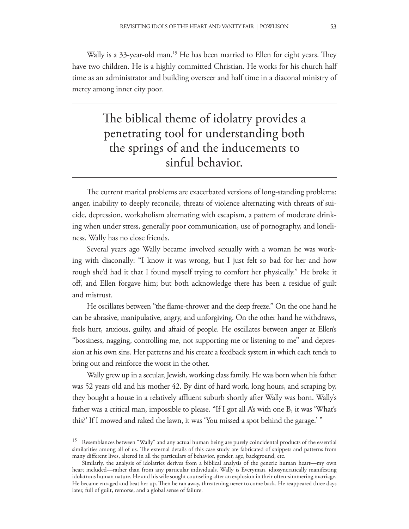Wally is a 33-year-old man.<sup>15</sup> He has been married to Ellen for eight years. They have two children. He is a highly committed Christian. He works for his church half time as an administrator and building overseer and half time in a diaconal ministry of mercy among inner city poor.

# The biblical theme of idolatry provides a penetrating tool for understanding both the springs of and the inducements to sinful behavior.

The current marital problems are exacerbated versions of long-standing problems: anger, inability to deeply reconcile, threats of violence alternating with threats of suicide, depression, workaholism alternating with escapism, a pattern of moderate drinking when under stress, generally poor communication, use of pornography, and loneliness. Wally has no close friends.

Several years ago Wally became involved sexually with a woman he was working with diaconally: "I know it was wrong, but I just felt so bad for her and how rough she'd had it that I found myself trying to comfort her physically." He broke it off, and Ellen forgave him; but both acknowledge there has been a residue of guilt and mistrust.

He oscillates between "the flame-thrower and the deep freeze." On the one hand he can be abrasive, manipulative, angry, and unforgiving. On the other hand he withdraws, feels hurt, anxious, guilty, and afraid of people. He oscillates between anger at Ellen's "bossiness, nagging, controlling me, not supporting me or listening to me" and depression at his own sins. Her patterns and his create a feedback system in which each tends to bring out and reinforce the worst in the other.

Wally grew up in a secular, Jewish, working class family. He was born when his father was 52 years old and his mother 42. By dint of hard work, long hours, and scraping by, they bought a house in a relatively affluent suburb shortly after Wally was born. Wally's father was a critical man, impossible to please. "If I got all A's with one B, it was 'What's this?' If I mowed and raked the lawn, it was 'You missed a spot behind the garage.' "

<sup>&</sup>lt;sup>15</sup> Resemblances between "Wally" and any actual human being are purely coincidental products of the essential similarities among all of us. The external details of this case study are fabricated of snippets and patterns from many different lives, altered in all the particulars of behavior, gender, age, background, etc.

Similarly, the analysis of idolatries derives from a biblical analysis of the generic human heart—my own heart included—rather than from any particular individuals. Wally is Everyman, idiosyncratically manifesting idolatrous human nature. He and his wife sought counseling after an explosion in their often-simmering marriage. He became enraged and beat her up. Then he ran away, threatening never to come back. He reappeared three days later, full of guilt, remorse, and a global sense of failure.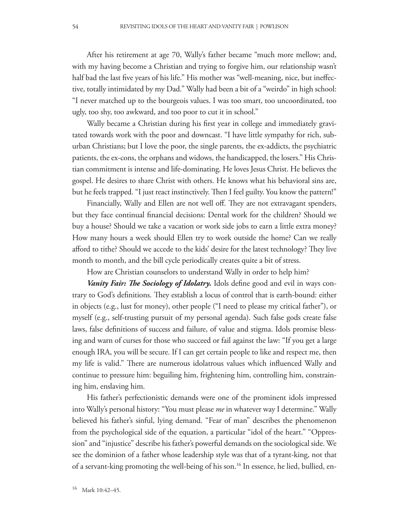After his retirement at age 70, Wally's father became "much more mellow; and, with my having become a Christian and trying to forgive him, our relationship wasn't half bad the last five years of his life." His mother was "well-meaning, nice, but ineffective, totally intimidated by my Dad." Wally had been a bit of a "weirdo" in high school: "I never matched up to the bourgeois values. I was too smart, too uncoordinated, too ugly, too shy, too awkward, and too poor to cut it in school."

Wally became a Christian during his first year in college and immediately gravitated towards work with the poor and downcast. "I have little sympathy for rich, suburban Christians; but I love the poor, the single parents, the ex-addicts, the psychiatric patients, the ex-cons, the orphans and widows, the handicapped, the losers." His Christian commitment is intense and life-dominating. He loves Jesus Christ. He believes the gospel. He desires to share Christ with others. He knows what his behavioral sins are, but he feels trapped. "I just react instinctively. Then I feel guilty. You know the pattern!"

Financially, Wally and Ellen are not well off. They are not extravagant spenders, but they face continual financial decisions: Dental work for the children? Should we buy a house? Should we take a vacation or work side jobs to earn a little extra money? How many hours a week should Ellen try to work outside the home? Can we really afford to tithe? Should we accede to the kids' desire for the latest technology? They live month to month, and the bill cycle periodically creates quite a bit of stress.

How are Christian counselors to understand Wally in order to help him?

*Vanity Fair: The Sociology of Idolatry.* Idols define good and evil in ways contrary to God's definitions. They establish a locus of control that is earth-bound: either in objects (e.g., lust for money), other people ("I need to please my critical father"), or myself (e.g., self-trusting pursuit of my personal agenda). Such false gods create false laws, false definitions of success and failure, of value and stigma. Idols promise blessing and warn of curses for those who succeed or fail against the law: "If you get a large enough IRA, you will be secure. If I can get certain people to like and respect me, then my life is valid." There are numerous idolatrous values which influenced Wally and continue to pressure him: beguiling him, frightening him, controlling him, constraining him, enslaving him.

His father's perfectionistic demands were one of the prominent idols impressed into Wally's personal history: "You must please *me* in whatever way I determine." Wally believed his father's sinful, lying demand. "Fear of man" describes the phenomenon from the psychological side of the equation, a particular "idol of the heart." "Oppression" and "injustice" describe his father's powerful demands on the sociological side. We see the dominion of a father whose leadership style was that of a tyrant-king, not that of a servant-king promoting the well-being of his son.16 In essence, he lied, bullied, en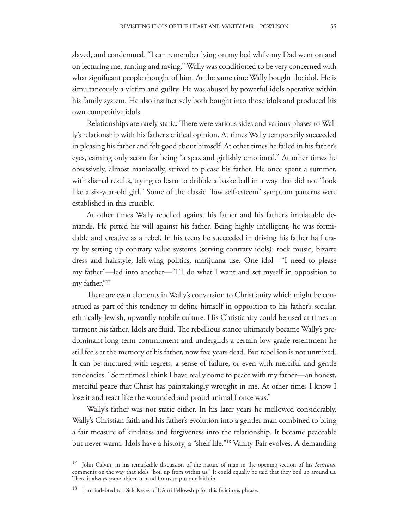slaved, and condemned. "I can remember lying on my bed while my Dad went on and on lecturing me, ranting and raving." Wally was conditioned to be very concerned with what significant people thought of him. At the same time Wally bought the idol. He is simultaneously a victim and guilty. He was abused by powerful idols operative within his family system. He also instinctively both bought into those idols and produced his own competitive idols.

Relationships are rarely static. There were various sides and various phases to Wally's relationship with his father's critical opinion. At times Wally temporarily succeeded in pleasing his father and felt good about himself. At other times he failed in his father's eyes, earning only scorn for being "a spaz and girlishly emotional." At other times he obsessively, almost maniacally, strived to please his father. He once spent a summer, with dismal results, trying to learn to dribble a basketball in a way that did not "look like a six-year-old girl." Some of the classic "low self-esteem" symptom patterns were established in this crucible.

At other times Wally rebelled against his father and his father's implacable demands. He pitted his will against his father. Being highly intelligent, he was formidable and creative as a rebel. In his teens he succeeded in driving his father half crazy by setting up contrary value systems (serving contrary idols): rock music, bizarre dress and hairstyle, left-wing politics, marijuana use. One idol—"I need to please my father"—led into another—"I'll do what I want and set myself in opposition to my father."17

There are even elements in Wally's conversion to Christianity which might be construed as part of this tendency to define himself in opposition to his father's secular, ethnically Jewish, upwardly mobile culture. His Christianity could be used at times to torment his father. Idols are fluid. The rebellious stance ultimately became Wally's predominant long-term commitment and undergirds a certain low-grade resentment he still feels at the memory of his father, now five years dead. But rebellion is not unmixed. It can be tinctured with regrets, a sense of failure, or even with merciful and gentle tendencies. "Sometimes I think I have really come to peace with my father—an honest, merciful peace that Christ has painstakingly wrought in me. At other times I know I lose it and react like the wounded and proud animal I once was."

Wally's father was not static either. In his later years he mellowed considerably. Wally's Christian faith and his father's evolution into a gentler man combined to bring a fair measure of kindness and forgiveness into the relationship. It became peaceable but never warm. Idols have a history, a "shelf life."<sup>18</sup> Vanity Fair evolves. A demanding

<sup>17</sup> John Calvin, in his remarkable discussion of the nature of man in the opening section of his *Institutes*, comments on the way that idols "boil up from within us." It could equally be said that they boil up around us. There is always some object at hand for us to put our faith in.

<sup>&</sup>lt;sup>18</sup> I am indebted to Dick Keyes of L'Abri Fellowship for this felicitous phrase.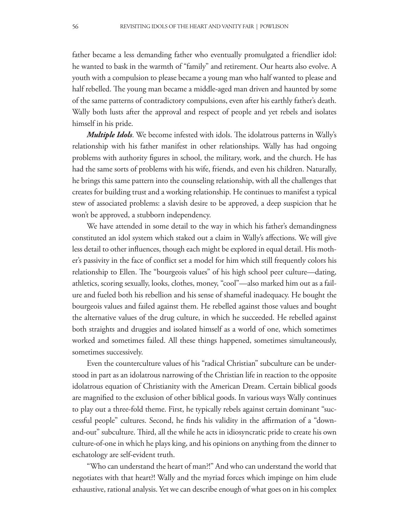father became a less demanding father who eventually promulgated a friendlier idol: he wanted to bask in the warmth of "family" and retirement. Our hearts also evolve. A youth with a compulsion to please became a young man who half wanted to please and half rebelled. The young man became a middle-aged man driven and haunted by some of the same patterns of contradictory compulsions, even after his earthly father's death. Wally both lusts after the approval and respect of people and yet rebels and isolates himself in his pride.

*Multiple Idols*. We become infested with idols. The idolatrous patterns in Wally's relationship with his father manifest in other relationships. Wally has had ongoing problems with authority !gures in school, the military, work, and the church. He has had the same sorts of problems with his wife, friends, and even his children. Naturally, he brings this same pattern into the counseling relationship, with all the challenges that creates for building trust and a working relationship. He continues to manifest a typical stew of associated problems: a slavish desire to be approved, a deep suspicion that he won't be approved, a stubborn independency.

We have attended in some detail to the way in which his father's demandingness constituted an idol system which staked out a claim in Wally's affections. We will give less detail to other influences, though each might be explored in equal detail. His mother's passivity in the face of conflict set a model for him which still frequently colors his relationship to Ellen. The "bourgeois values" of his high school peer culture—dating, athletics, scoring sexually, looks, clothes, money, "cool"—also marked him out as a failure and fueled both his rebellion and his sense of shameful inadequacy. He bought the bourgeois values and failed against them. He rebelled against those values and bought the alternative values of the drug culture, in which he succeeded. He rebelled against both straights and druggies and isolated himself as a world of one, which sometimes worked and sometimes failed. All these things happened, sometimes simultaneously, sometimes successively.

Even the counterculture values of his "radical Christian" subculture can be understood in part as an idolatrous narrowing of the Christian life in reaction to the opposite idolatrous equation of Christianity with the American Dream. Certain biblical goods are magnified to the exclusion of other biblical goods. In various ways Wally continues to play out a three-fold theme. First, he typically rebels against certain dominant "successful people" cultures. Second, he finds his validity in the affirmation of a "downand-out" subculture. Third, all the while he acts in idiosyncratic pride to create his own culture-of-one in which he plays king, and his opinions on anything from the dinner to eschatology are self-evident truth.

"Who can understand the heart of man?!" And who can understand the world that negotiates with that heart?! Wally and the myriad forces which impinge on him elude exhaustive, rational analysis. Yet we can describe enough of what goes on in his complex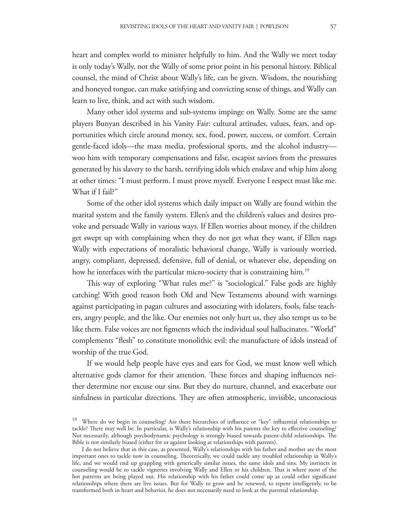heart and complex world to minister helpfully to him. And the Wally we meet today is only today's Wally, not the Wally of some prior point in his personal history. Biblical counsel, the mind of Christ about Wally's life, can be given. Wisdom, the nourishing and honeyed tongue, can make satisfying and convicting sense of things, and Wally can learn to live, think, and act with such wisdom.

Many other idol systems and sub-systems impinge on Wally. Some are the same players Bunyan described in his Vanity Fair: cultural attitudes, values, fears, and opportunities which circle around money, sex, food, power, success, or comfort. Certain gentle-faced idols—the mass media, professional sports, and the alcohol industry woo him with temporary compensations and false, escapist saviors from the pressures generated by his slavery to the harsh, terrifying idols which enslave and whip him along at other times: "I must perform. I must prove myself. Everyone I respect must like me. What if I fail?"

Some of the other idol systems which daily impact on Wally are found within the marital system and the family system. Ellen's and the children's values and desires provoke and persuade Wally in various ways. If Ellen worries about money, if the children get swept up with complaining when they do not get what they want, if Ellen nags Wally with expectations of moralistic behavioral change, Wally is variously worried, angry, compliant, depressed, defensive, full of denial, or whatever else, depending on how he interfaces with the particular micro-society that is constraining him.<sup>19</sup>

This way of exploring "What rules me?" is "sociological." False gods are highly catching! With good reason both Old and New Testaments abound with warnings against participating in pagan cultures and associating with idolaters, fools, false teachers, angry people, and the like. Our enemies not only hurt us, they also tempt us to be like them. False voices are not figments which the individual soul hallucinates. "World" complements "flesh" to constitute monolithic evil: the manufacture of idols instead of worship of the true God.

If we would help people have eyes and ears for God, we must know well which alternative gods clamor for their attention. These forces and shaping influences neither determine nor excuse our sins. But they do nurture, channel, and exacerbate our sinfulness in particular directions. They are often atmospheric, invisible, unconscious

<sup>&</sup>lt;sup>19</sup> Where do we begin in counseling? Are there hierarchies of influence or "key" influential relationships to tackle? There may well be. In particular, is Wally's relationship with his parents the key to effective counseling? Not necessarily, although psychodynamic psychology is strongly biased towards parent-child relationships. The Bible is not similarly biased (either for or against looking at relationships with parents).

I do not believe that in this case, as presented, Wally's relationships with his father and mother are the most important ones to tackle now in counseling. Theoretically, we could tackle any troubled relationship in Wally's life, and we would end up grappling with generically similar issues, the same idols and sins. My instincts in counseling would be to tackle vignettes involving Wally and Ellen or his children. That is where most of the hot patterns are being played out. His relationship with his father could come up as could other significant relationships where there are live issues. But for Wally to grow and be renewed, to repent intelligently, to be transformed both in heart and behavior, he does not necessarily need to look at the parental relationship.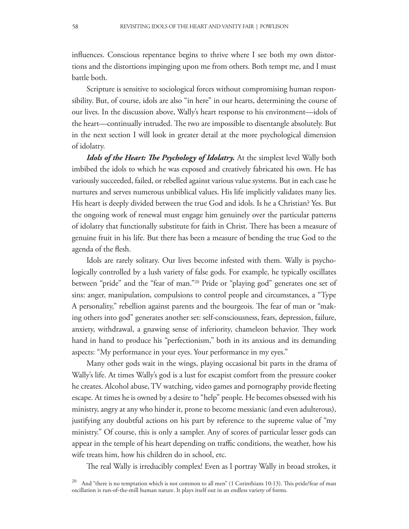influences. Conscious repentance begins to thrive where I see both my own distortions and the distortions impinging upon me from others. Both tempt me, and I must battle both.

Scripture is sensitive to sociological forces without compromising human responsibility. But, of course, idols are also "in here" in our hearts, determining the course of our lives. In the discussion above, Wally's heart response to his environment—idols of the heart—continually intruded. The two are impossible to disentangle absolutely. But in the next section I will look in greater detail at the more psychological dimension of idolatry.

*Idols of the Heart: The Psychology of Idolatry.* At the simplest level Wally both imbibed the idols to which he was exposed and creatively fabricated his own. He has variously succeeded, failed, or rebelled against various value systems. But in each case he nurtures and serves numerous unbiblical values. His life implicitly validates many lies. His heart is deeply divided between the true God and idols. Is he a Christian? Yes. But the ongoing work of renewal must engage him genuinely over the particular patterns of idolatry that functionally substitute for faith in Christ. There has been a measure of genuine fruit in his life. But there has been a measure of bending the true God to the agenda of the flesh.

Idols are rarely solitary. Our lives become infested with them. Wally is psychologically controlled by a lush variety of false gods. For example, he typically oscillates between "pride" and the "fear of man."20 Pride or "playing god" generates one set of sins: anger, manipulation, compulsions to control people and circumstances, a "Type A personality," rebellion against parents and the bourgeois. The fear of man or "making others into god" generates another set: self-consciousness, fears, depression, failure, anxiety, withdrawal, a gnawing sense of inferiority, chameleon behavior. They work hand in hand to produce his "perfectionism," both in its anxious and its demanding aspects: "My performance in your eyes. Your performance in my eyes."

Many other gods wait in the wings, playing occasional bit parts in the drama of Wally's life. At times Wally's god is a lust for escapist comfort from the pressure cooker he creates. Alcohol abuse, TV watching, video games and pornography provide fleeting escape. At times he is owned by a desire to "help" people. He becomes obsessed with his ministry, angry at any who hinder it, prone to become messianic (and even adulterous), justifying any doubtful actions on his part by reference to the supreme value of "my ministry." Of course, this is only a sampler. Any of scores of particular lesser gods can appear in the temple of his heart depending on traffic conditions, the weather, how his wife treats him, how his children do in school, etc.

The real Wally is irreducibly complex! Even as I portray Wally in broad strokes, it

<sup>&</sup>lt;sup>20</sup> And "there is no temptation which is not common to all men" (1 Corinthians 10:13). This pride/fear of man oscillation is run-of-the-mill human nature. It plays itself out in an endless variety of forms.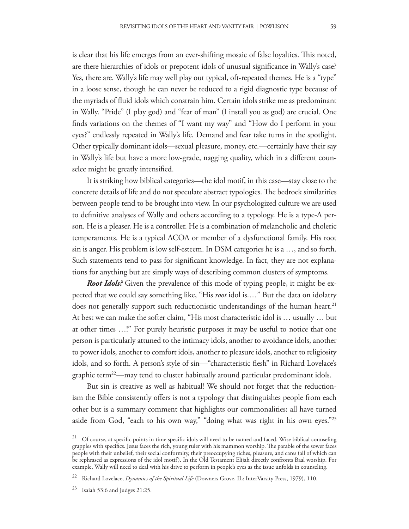is clear that his life emerges from an ever-shifting mosaic of false loyalties. This noted, are there hierarchies of idols or prepotent idols of unusual significance in Wally's case? Yes, there are. Wally's life may well play out typical, oft-repeated themes. He is a "type" in a loose sense, though he can never be reduced to a rigid diagnostic type because of the myriads of fluid idols which constrain him. Certain idols strike me as predominant in Wally. "Pride" (I play god) and "fear of man" (I install you as god) are crucial. One finds variations on the themes of "I want my way" and "How do I perform in your eyes?" endlessly repeated in Wally's life. Demand and fear take turns in the spotlight. Other typically dominant idols—sexual pleasure, money, etc.—certainly have their say in Wally's life but have a more low-grade, nagging quality, which in a different coun-

It is striking how biblical categories—the idol motif, in this case—stay close to the concrete details of life and do not speculate abstract typologies. The bedrock similarities between people tend to be brought into view. In our psychologized culture we are used to definitive analyses of Wally and others according to a typology. He is a type-A person. He is a pleaser. He is a controller. He is a combination of melancholic and choleric temperaments. He is a typical ACOA or member of a dysfunctional family. His root sin is anger. His problem is low self-esteem. In DSM categories he is a …, and so forth. Such statements tend to pass for significant knowledge. In fact, they are not explanations for anything but are simply ways of describing common clusters of symptoms.

*Root Idols?* Given the prevalence of this mode of typing people, it might be expected that we could say something like, "His *root* idol is.…" But the data on idolatry does not generally support such reductionistic understandings of the human heart.<sup>21</sup> At best we can make the softer claim, "His most characteristic idol is … usually … but at other times …!" For purely heuristic purposes it may be useful to notice that one person is particularly attuned to the intimacy idols, another to avoidance idols, another to power idols, another to comfort idols, another to pleasure idols, another to religiosity idols, and so forth. A person's style of sin—"characteristic flesh" in Richard Lovelace's graphic term<sup>22</sup>—may tend to cluster habitually around particular predominant idols.

But sin is creative as well as habitual! We should not forget that the reductionism the Bible consistently offers is not a typology that distinguishes people from each other but is a summary comment that highlights our commonalities: all have turned aside from God, "each to his own way," "doing what was right in his own eyes."<sup>23</sup>

selee might be greatly intensified.

 $21$  Of course, at specific points in time specific idols will need to be named and faced. Wise biblical counseling grapples with specifics. Jesus faces the rich, young ruler with his mammon worship. The parable of the sower faces people with their unbelief, their social conformity, their preoccupying riches, pleasure, and cares (all of which can be rephrased as expressions of the idol motif). In the Old Testament Elijah directly confronts Baal worship. For example, Wally will need to deal with his drive to perform in people's eyes as the issue unfolds in counseling.

<sup>22</sup> Richard Lovelace, *Dynamics of the Spiritual Life* (Downers Grove, IL: InterVarsity Press, 1979), 110.

 $23$  Isaiah 53:6 and Judges 21:25.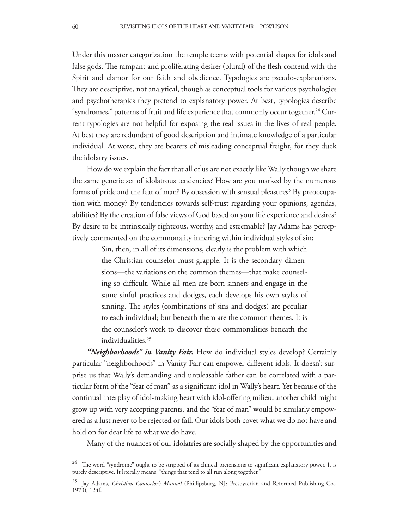Under this master categorization the temple teems with potential shapes for idols and false gods. The rampant and proliferating desires (plural) of the flesh contend with the Spirit and clamor for our faith and obedience. Typologies are pseudo-explanations. They are descriptive, not analytical, though as conceptual tools for various psychologies and psychotherapies they pretend to explanatory power. At best, typologies describe "syndromes," patterns of fruit and life experience that commonly occur together.<sup>24</sup> Current typologies are not helpful for exposing the real issues in the lives of real people. At best they are redundant of good description and intimate knowledge of a particular individual. At worst, they are bearers of misleading conceptual freight, for they duck the idolatry issues.

How do we explain the fact that all of us are not exactly like Wally though we share the same generic set of idolatrous tendencies? How are you marked by the numerous forms of pride and the fear of man? By obsession with sensual pleasures? By preoccupation with money? By tendencies towards self-trust regarding your opinions, agendas, abilities? By the creation of false views of God based on your life experience and desires? By desire to be intrinsically righteous, worthy, and esteemable? Jay Adams has perceptively commented on the commonality inhering within individual styles of sin:

> Sin, then, in all of its dimensions, clearly is the problem with which the Christian counselor must grapple. It is the secondary dimensions—the variations on the common themes—that make counseling so difficult. While all men are born sinners and engage in the same sinful practices and dodges, each develops his own styles of sinning. The styles (combinations of sins and dodges) are peculiar to each individual; but beneath them are the common themes. It is the counselor's work to discover these commonalities beneath the individualities.<sup>25</sup>

*"Neighborhoods" in Vanity Fair.* How do individual styles develop? Certainly particular "neighborhoods" in Vanity Fair can empower different idols. It doesn't surprise us that Wally's demanding and unpleasable father can be correlated with a particular form of the "fear of man" as a significant idol in Wally's heart. Yet because of the continual interplay of idol-making heart with idol-offering milieu, another child might grow up with very accepting parents, and the "fear of man" would be similarly empowered as a lust never to be rejected or fail. Our idols both covet what we do not have and hold on for dear life to what we do have.

Many of the nuances of our idolatries are socially shaped by the opportunities and

 $24$  The word "syndrome" ought to be stripped of its clinical pretensions to significant explanatory power. It is purely descriptive. It literally means, "things that tend to all run along together."

<sup>25</sup> Jay Adams, *Christian Counselor's Manual* (Phillipsburg, NJ: Presbyterian and Reformed Publishing Co., 1973), 124f.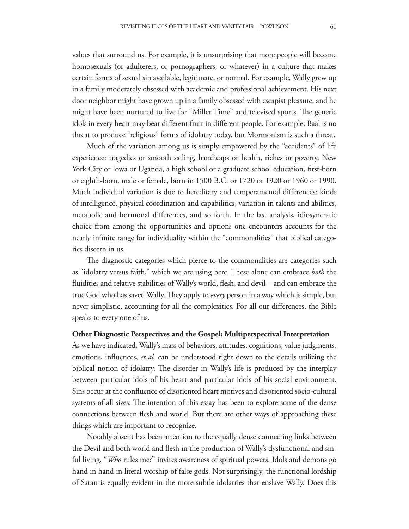values that surround us. For example, it is unsurprising that more people will become homosexuals (or adulterers, or pornographers, or whatever) in a culture that makes certain forms of sexual sin available, legitimate, or normal. For example, Wally grew up in a family moderately obsessed with academic and professional achievement. His next door neighbor might have grown up in a family obsessed with escapist pleasure, and he might have been nurtured to live for "Miller Time" and televised sports. The generic idols in every heart may bear different fruit in different people. For example, Baal is no threat to produce "religious" forms of idolatry today, but Mormonism is such a threat.

Much of the variation among us is simply empowered by the "accidents" of life experience: tragedies or smooth sailing, handicaps or health, riches or poverty, New York City or Iowa or Uganda, a high school or a graduate school education, first-born or eighth-born, male or female, born in 1500 B.C. or 1720 or 1920 or 1960 or 1990. Much individual variation is due to hereditary and temperamental differences: kinds of intelligence, physical coordination and capabilities, variation in talents and abilities, metabolic and hormonal differences, and so forth. In the last analysis, idiosyncratic choice from among the opportunities and options one encounters accounts for the nearly infinite range for individuality within the "commonalities" that biblical categories discern in us.

The diagnostic categories which pierce to the commonalities are categories such as "idolatry versus faith," which we are using here. These alone can embrace *both* the fluidities and relative stabilities of Wally's world, flesh, and devil—and can embrace the true God who has saved Wally. They apply to *every* person in a way which is simple, but never simplistic, accounting for all the complexities. For all our differences, the Bible speaks to every one of us.

### **Other Diagnostic Perspectives and the Gospel: Multiperspectival Interpretation**

As we have indicated, Wally's mass of behaviors, attitudes, cognitions, value judgments, emotions, influences, *et al.* can be understood right down to the details utilizing the biblical notion of idolatry. The disorder in Wally's life is produced by the interplay between particular idols of his heart and particular idols of his social environment. Sins occur at the confluence of disoriented heart motives and disoriented socio-cultural systems of all sizes. The intention of this essay has been to explore some of the dense connections between flesh and world. But there are other ways of approaching these things which are important to recognize.

Notably absent has been attention to the equally dense connecting links between the Devil and both world and flesh in the production of Wally's dysfunctional and sinful living. "*Who* rules me?" invites awareness of spiritual powers. Idols and demons go hand in hand in literal worship of false gods. Not surprisingly, the functional lordship of Satan is equally evident in the more subtle idolatries that enslave Wally. Does this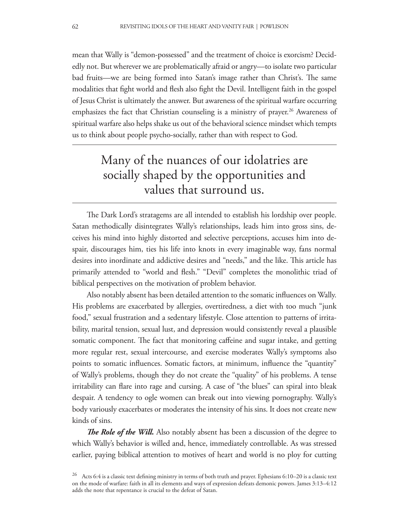mean that Wally is "demon-possessed" and the treatment of choice is exorcism? Decidedly not. But wherever we are problematically afraid or angry—to isolate two particular bad fruits—we are being formed into Satan's image rather than Christ's. The same modalities that fight world and flesh also fight the Devil. Intelligent faith in the gospel of Jesus Christ is ultimately the answer. But awareness of the spiritual warfare occurring emphasizes the fact that Christian counseling is a ministry of prayer.<sup>26</sup> Awareness of spiritual warfare also helps shake us out of the behavioral science mindset which tempts us to think about people psycho-socially, rather than with respect to God.

# Many of the nuances of our idolatries are socially shaped by the opportunities and values that surround us.

The Dark Lord's stratagems are all intended to establish his lordship over people. Satan methodically disintegrates Wally's relationships, leads him into gross sins, deceives his mind into highly distorted and selective perceptions, accuses him into despair, discourages him, ties his life into knots in every imaginable way, fans normal desires into inordinate and addictive desires and "needs," and the like. This article has primarily attended to "world and flesh." "Devil" completes the monolithic triad of biblical perspectives on the motivation of problem behavior.

Also notably absent has been detailed attention to the somatic influences on Wally. His problems are exacerbated by allergies, overtiredness, a diet with too much "junk food," sexual frustration and a sedentary lifestyle. Close attention to patterns of irritability, marital tension, sexual lust, and depression would consistently reveal a plausible somatic component. The fact that monitoring caffeine and sugar intake, and getting more regular rest, sexual intercourse, and exercise moderates Wally's symptoms also points to somatic influences. Somatic factors, at minimum, influence the "quantity" of Wally's problems, though they do not create the "quality" of his problems. A tense irritability can flare into rage and cursing. A case of "the blues" can spiral into bleak despair. A tendency to ogle women can break out into viewing pornography. Wally's body variously exacerbates or moderates the intensity of his sins. It does not create new kinds of sins.

*The Role of the Will.* Also notably absent has been a discussion of the degree to which Wally's behavior is willed and, hence, immediately controllable. As was stressed earlier, paying biblical attention to motives of heart and world is no ploy for cutting

<sup>&</sup>lt;sup>26</sup> Acts 6:4 is a classic text defining ministry in terms of both truth and prayer. Ephesians 6:10–20 is a classic text on the mode of warfare: faith in all its elements and ways of expression defeats demonic powers. James 3:13–4:12 adds the note that repentance is crucial to the defeat of Satan.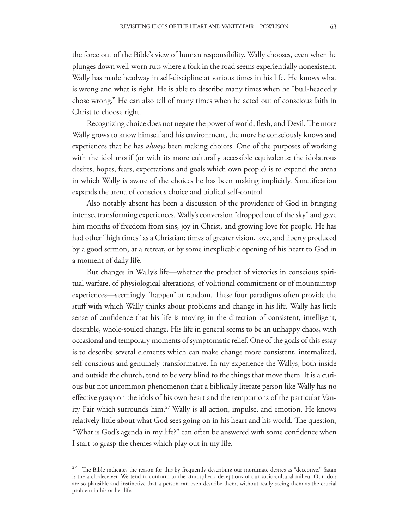the force out of the Bible's view of human responsibility. Wally chooses, even when he plunges down well-worn ruts where a fork in the road seems experientially nonexistent. Wally has made headway in self-discipline at various times in his life. He knows what is wrong and what is right. He is able to describe many times when he "bull-headedly chose wrong." He can also tell of many times when he acted out of conscious faith in Christ to choose right.

Recognizing choice does not negate the power of world, flesh, and Devil. The more Wally grows to know himself and his environment, the more he consciously knows and experiences that he has *always* been making choices. One of the purposes of working with the idol motif (or with its more culturally accessible equivalents: the idolatrous desires, hopes, fears, expectations and goals which own people) is to expand the arena in which Wally is aware of the choices he has been making implicitly. Sanctification expands the arena of conscious choice and biblical self-control.

Also notably absent has been a discussion of the providence of God in bringing intense, transforming experiences. Wally's conversion "dropped out of the sky" and gave him months of freedom from sins, joy in Christ, and growing love for people. He has had other "high times" as a Christian: times of greater vision, love, and liberty produced by a good sermon, at a retreat, or by some inexplicable opening of his heart to God in a moment of daily life.

But changes in Wally's life—whether the product of victories in conscious spiritual warfare, of physiological alterations, of volitional commitment or of mountaintop experiences—seemingly "happen" at random. These four paradigms often provide the stuff with which Wally thinks about problems and change in his life. Wally has little sense of confidence that his life is moving in the direction of consistent, intelligent, desirable, whole-souled change. His life in general seems to be an unhappy chaos, with occasional and temporary moments of symptomatic relief. One of the goals of this essay is to describe several elements which can make change more consistent, internalized, self-conscious and genuinely transformative. In my experience the Wallys, both inside and outside the church, tend to be very blind to the things that move them. It is a curious but not uncommon phenomenon that a biblically literate person like Wally has no effective grasp on the idols of his own heart and the temptations of the particular Vanity Fair which surrounds him.<sup>27</sup> Wally is all action, impulse, and emotion. He knows relatively little about what God sees going on in his heart and his world. The question, "What is God's agenda in my life?" can often be answered with some confidence when I start to grasp the themes which play out in my life.

The Bible indicates the reason for this by frequently describing our inordinate desires as "deceptive." Satan is the arch-deceiver. We tend to conform to the atmospheric deceptions of our socio-cultural milieu. Our idols are so plausible and instinctive that a person can even describe them, without really seeing them as the crucial problem in his or her life.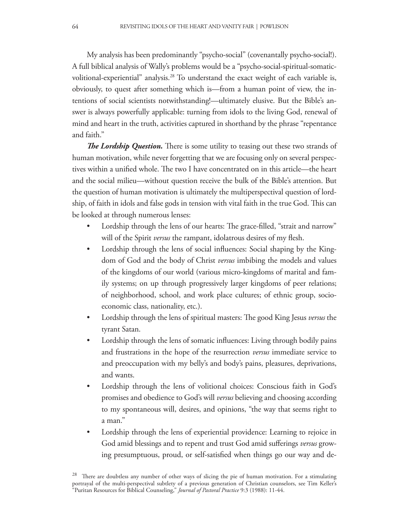My analysis has been predominantly "psycho-social" (covenantally psycho-social!). A full biblical analysis of Wally's problems would be a "psycho-social-spiritual-somaticvolitional-experiential" analysis.<sup>28</sup> To understand the exact weight of each variable is, obviously, to quest after something which is—from a human point of view, the intentions of social scientists notwithstanding!—ultimately elusive. But the Bible's answer is always powerfully applicable: turning from idols to the living God, renewal of mind and heart in the truth, activities captured in shorthand by the phrase "repentance and faith."

*The Lordship Question.* There is some utility to teasing out these two strands of human motivation, while never forgetting that we are focusing only on several perspectives within a unified whole. The two I have concentrated on in this article—the heart and the social milieu—without question receive the bulk of the Bible's attention. But the question of human motivation is ultimately the multiperspectival question of lordship, of faith in idols and false gods in tension with vital faith in the true God. This can be looked at through numerous lenses:

- Lordship through the lens of our hearts: The grace-filled, "strait and narrow" will of the Spirit *versus* the rampant, idolatrous desires of my flesh.
- Lordship through the lens of social influences: Social shaping by the Kingdom of God and the body of Christ *versus* imbibing the models and values of the kingdoms of our world (various micro-kingdoms of marital and family systems; on up through progressively larger kingdoms of peer relations; of neighborhood, school, and work place cultures; of ethnic group, socioeconomic class, nationality, etc.).
- Lordship through the lens of spiritual masters: The good King Jesus *versus* the tyrant Satan.
- Lordship through the lens of somatic influences: Living through bodily pains and frustrations in the hope of the resurrection *versus* immediate service to and preoccupation with my belly's and body's pains, pleasures, deprivations, and wants.
- Lordship through the lens of volitional choices: Conscious faith in God's promises and obedience to God's will *versus* believing and choosing according to my spontaneous will, desires, and opinions, "the way that seems right to a man."
- Lordship through the lens of experiential providence: Learning to rejoice in God amid blessings and to repent and trust God amid sufferings *versus* growing presumptuous, proud, or self-satisfied when things go our way and de-

<sup>&</sup>lt;sup>28</sup> There are doubtless any number of other ways of slicing the pie of human motivation. For a stimulating portrayal of the multi-perspectival subtlety of a previous generation of Christian counselors, see Tim Keller's "Puritan Resources for Biblical Counseling," *Journal of Pastoral Practice* 9:3 (1988): 11-44.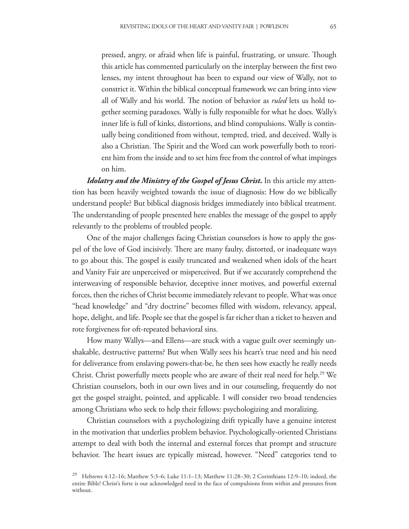pressed, angry, or afraid when life is painful, frustrating, or unsure. Though this article has commented particularly on the interplay between the first two lenses, my intent throughout has been to expand our view of Wally, not to constrict it. Within the biblical conceptual framework we can bring into view all of Wally and his world. The notion of behavior as *ruled* lets us hold together seeming paradoxes. Wally is fully responsible for what he does. Wally's inner life is full of kinks, distortions, and blind compulsions. Wally is continually being conditioned from without, tempted, tried, and deceived. Wally is also a Christian. The Spirit and the Word can work powerfully both to reorient him from the inside and to set him free from the control of what impinges on him.

*Idolatry and the Ministry of the Gospel of Jesus Christ***.** In this article my attention has been heavily weighted towards the issue of diagnosis: How do we biblically understand people? But biblical diagnosis bridges immediately into biblical treatment. The understanding of people presented here enables the message of the gospel to apply relevantly to the problems of troubled people.

One of the major challenges facing Christian counselors is how to apply the gospel of the love of God incisively. There are many faulty, distorted, or inadequate ways to go about this. The gospel is easily truncated and weakened when idols of the heart and Vanity Fair are unperceived or misperceived. But if we accurately comprehend the interweaving of responsible behavior, deceptive inner motives, and powerful external forces, then the riches of Christ become immediately relevant to people. What was once "head knowledge" and "dry doctrine" becomes filled with wisdom, relevancy, appeal, hope, delight, and life. People see that the gospel is far richer than a ticket to heaven and rote forgiveness for oft-repeated behavioral sins.

How many Wallys—and Ellens—are stuck with a vague guilt over seemingly unshakable, destructive patterns? But when Wally sees his heart's true need and his need for deliverance from enslaving powers-that-be, he then sees how exactly he really needs Christ. Christ powerfully meets people who are aware of their real need for help.<sup>29</sup> We Christian counselors, both in our own lives and in our counseling, frequently do not get the gospel straight, pointed, and applicable. I will consider two broad tendencies among Christians who seek to help their fellows: psychologizing and moralizing.

Christian counselors with a psychologizing drift typically have a genuine interest in the motivation that underlies problem behavior. Psychologically-oriented Christians attempt to deal with both the internal and external forces that prompt and structure behavior. The heart issues are typically misread, however. "Need" categories tend to

<sup>&</sup>lt;sup>29</sup> Hebrews 4:12–16; Matthew 5:3–6; Luke 11:1–13; Matthew 11:28–30; 2 Corinthians 12:9–10; indeed, the entire Bible! Christ's forte is our acknowledged need in the face of compulsions from within and pressures from without.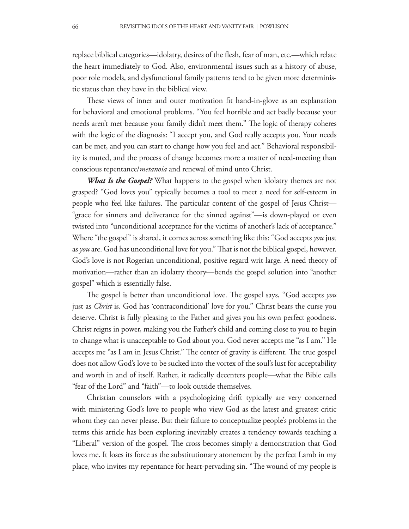replace biblical categories—idolatry, desires of the flesh, fear of man, etc.—which relate the heart immediately to God. Also, environmental issues such as a history of abuse, poor role models, and dysfunctional family patterns tend to be given more deterministic status than they have in the biblical view.

These views of inner and outer motivation fit hand-in-glove as an explanation for behavioral and emotional problems. "You feel horrible and act badly because your needs aren't met because your family didn't meet them." The logic of therapy coheres with the logic of the diagnosis: "I accept you, and God really accepts you. Your needs can be met, and you can start to change how you feel and act." Behavioral responsibility is muted, and the process of change becomes more a matter of need-meeting than conscious repentance/*metanoia* and renewal of mind unto Christ.

*What Is the Gospel?* What happens to the gospel when idolatry themes are not grasped? "God loves you" typically becomes a tool to meet a need for self-esteem in people who feel like failures. The particular content of the gospel of Jesus Christ— "grace for sinners and deliverance for the sinned against"—is down-played or even twisted into "unconditional acceptance for the victims of another's lack of acceptance." Where "the gospel" is shared, it comes across something like this: "God accepts *you* just as *you* are. God has unconditional love for you." That is not the biblical gospel, however. God's love is not Rogerian unconditional, positive regard writ large. A need theory of motivation—rather than an idolatry theory—bends the gospel solution into "another gospel" which is essentially false.

The gospel is better than unconditional love. The gospel says, "God accepts *you* just as *Christ* is. God has 'contraconditional' love for you." Christ bears the curse you deserve. Christ is fully pleasing to the Father and gives you his own perfect goodness. Christ reigns in power, making you the Father's child and coming close to you to begin to change what is unacceptable to God about you. God never accepts me "as I am." He accepts me "as I am in Jesus Christ." The center of gravity is different. The true gospel does not allow God's love to be sucked into the vortex of the soul's lust for acceptability and worth in and of itself. Rather, it radically decenters people—what the Bible calls "fear of the Lord" and "faith"—to look outside themselves.

Christian counselors with a psychologizing drift typically are very concerned with ministering God's love to people who view God as the latest and greatest critic whom they can never please. But their failure to conceptualize people's problems in the terms this article has been exploring inevitably creates a tendency towards teaching a "Liberal" version of the gospel. The cross becomes simply a demonstration that God loves me. It loses its force as the substitutionary atonement by the perfect Lamb in my place, who invites my repentance for heart-pervading sin. "The wound of my people is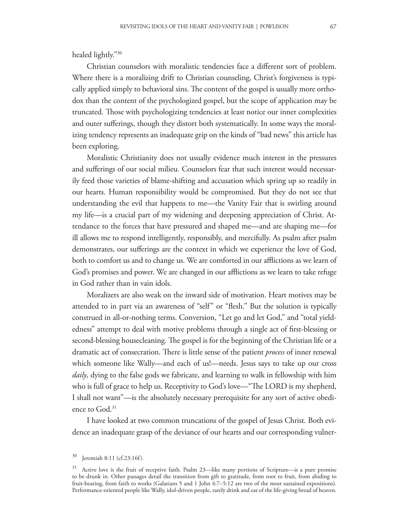Christian counselors with moralistic tendencies face a different sort of problem. Where there is a moralizing drift to Christian counseling, Christ's forgiveness is typically applied simply to behavioral sins. The content of the gospel is usually more orthodox than the content of the psychologized gospel, but the scope of application may be truncated. Those with psychologizing tendencies at least notice our inner complexities and outer sufferings, though they distort both systematically. In some ways the moralizing tendency represents an inadequate grip on the kinds of "bad news" this article has been exploring.

Moralistic Christianity does not usually evidence much interest in the pressures and sufferings of our social milieu. Counselors fear that such interest would necessarily feed those varieties of blame-shifting and accusation which spring up so readily in our hearts. Human responsibility would be compromised. But they do not see that understanding the evil that happens to me—the Vanity Fair that is swirling around my life—is a crucial part of my widening and deepening appreciation of Christ. Attendance to the forces that have pressured and shaped me—and are shaping me—for ill allows me to respond intelligently, responsibly, and mercifully. As psalm after psalm demonstrates, our sufferings are the context in which we experience the love of God, both to comfort us and to change us. We are comforted in our afflictions as we learn of God's promises and power. We are changed in our afflictions as we learn to take refuge in God rather than in vain idols.

Moralizers are also weak on the inward side of motivation. Heart motives may be attended to in part via an awareness of "self" or "flesh." But the solution is typically construed in all-or-nothing terms. Conversion, "Let go and let God," and "total yieldedness" attempt to deal with motive problems through a single act of first-blessing or second-blessing housecleaning. The gospel is for the beginning of the Christian life or a dramatic act of consecration. There is little sense of the patient *process* of inner renewal which someone like Wally—and each of us!—needs. Jesus says to take up our cross *daily*, dying to the false gods we fabricate, and learning to walk in fellowship with him who is full of grace to help us. Receptivity to God's love—"The LORD is my shepherd, I shall not want"—is the absolutely necessary prerequisite for any sort of active obedience to God.31

I have looked at two common truncations of the gospel of Jesus Christ. Both evidence an inadequate grasp of the deviance of our hearts and our corresponding vulner-

 $30$  Jeremiah 8:11 (cf.23:16f).

<sup>&</sup>lt;sup>31</sup> Active love is the fruit of receptive faith. Psalm 23—like many portions of Scripture—is a pure promise to be drunk in. Other passages detail the transition from gift to gratitude, from root to fruit, from abiding to fruit-bearing, from faith to works (Galatians 5 and 1 John 4:7-5:12 are two of the most sustained expositions). Performance-oriented people like Wally, idol-driven people, rarely drink and eat of the life-giving bread of heaven.